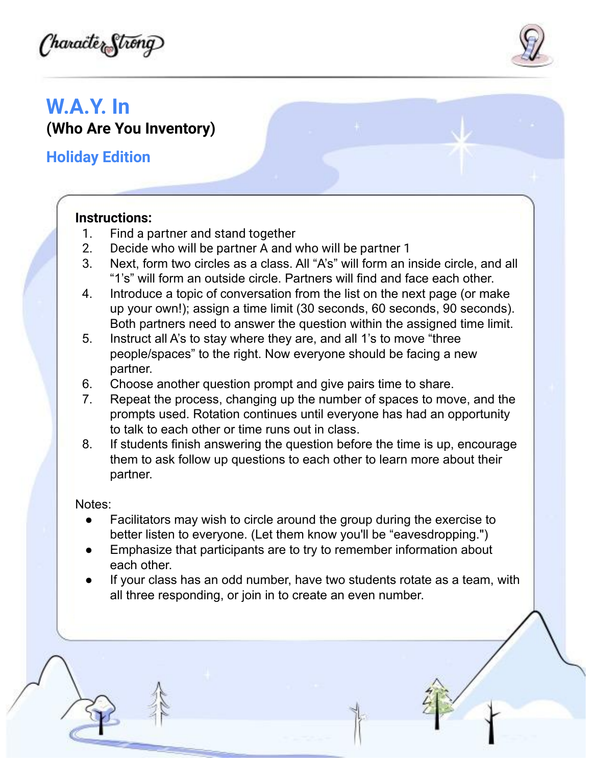(haračter Strong)



# **W.A.Y. In (Who Are You Inventory)**

**Holiday Edition**

### **Instructions:**

- 1. Find a partner and stand together
- 2. Decide who will be partner A and who will be partner 1
- 3. Next, form two circles as a class. All "A's" will form an inside circle, and all "1's" will form an outside circle. Partners will find and face each other.
- 4. Introduce a topic of conversation from the list on the next page (or make up your own!); assign a time limit (30 seconds, 60 seconds, 90 seconds). Both partners need to answer the question within the assigned time limit.
- 5. Instruct all A's to stay where they are, and all 1's to move "three people/spaces" to the right. Now everyone should be facing a new partner.
- 6. Choose another question prompt and give pairs time to share.
- 7. Repeat the process, changing up the number of spaces to move, and the prompts used. Rotation continues until everyone has had an opportunity to talk to each other or time runs out in class.
- 8. If students finish answering the question before the time is up, encourage them to ask follow up questions to each other to learn more about their partner.

#### Notes:

- Facilitators may wish to circle around the group during the exercise to better listen to everyone. (Let them know you'll be "eavesdropping.")
- Emphasize that participants are to try to remember information about each other.
- If your class has an odd number, have two students rotate as a team, with all three responding, or join in to create an even number.